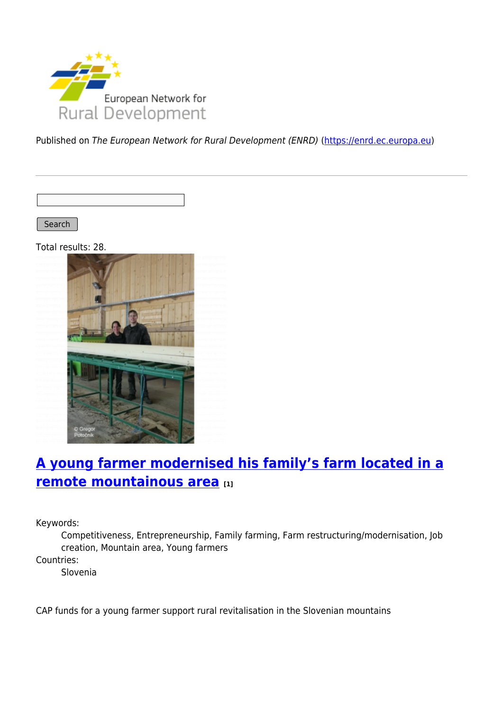

Published on The European Network for Rural Development (ENRD) [\(https://enrd.ec.europa.eu](https://enrd.ec.europa.eu))

Search

Total results: 28.



# **[A young farmer modernised his family's farm located in a](https://enrd.ec.europa.eu/projects-practice/young-farmer-modernised-his-familys-farm-located-remote-mountainous-area_en) [remote mountainous area](https://enrd.ec.europa.eu/projects-practice/young-farmer-modernised-his-familys-farm-located-remote-mountainous-area_en) [1]**

Keywords:

Competitiveness, Entrepreneurship, Family farming, Farm restructuring/modernisation, Job creation, Mountain area, Young farmers

Countries:

Slovenia

CAP funds for a young farmer support rural revitalisation in the Slovenian mountains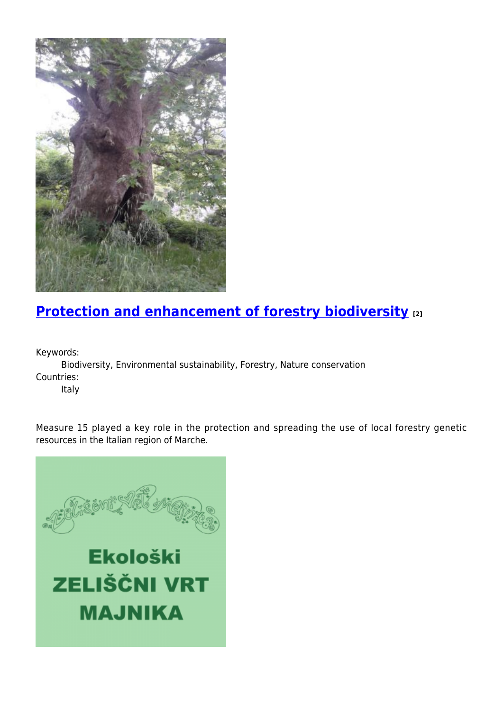

# **[Protection and enhancement of forestry biodiversity](https://enrd.ec.europa.eu/projects-practice/protection-and-enhancement-forestry-biodiversity_en) [2]**

Keywords:

Biodiversity, Environmental sustainability, Forestry, Nature conservation Countries:

Italy

Measure 15 played a key role in the protection and spreading the use of local forestry genetic resources in the Italian region of Marche.

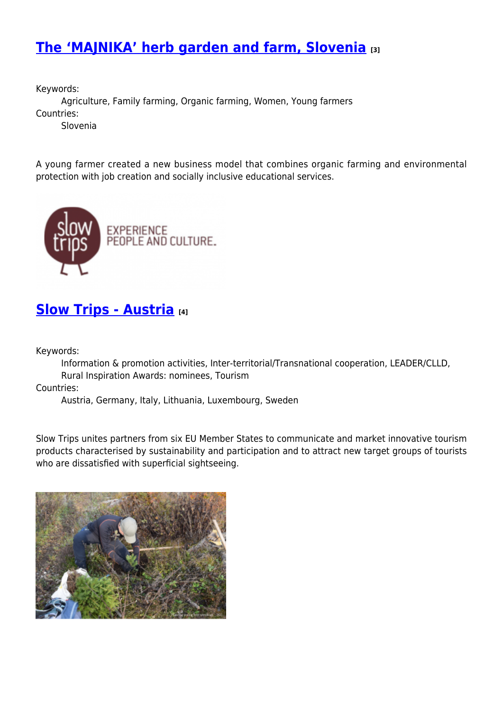## **[The 'MAJNIKA' herb garden and farm, Slovenia](https://enrd.ec.europa.eu/projects-practice/majnika-herb-garden-and-farm-slovenia_en) [3]**

Keywords:

Agriculture, Family farming, Organic farming, Women, Young farmers Countries:

Slovenia

A young farmer created a new business model that combines organic farming and environmental protection with job creation and socially inclusive educational services.



#### **[Slow Trips - Austria](https://enrd.ec.europa.eu/projects-practice/slow-trips-austria_en) [4]**

Keywords:

Information & promotion activities, Inter-territorial/Transnational cooperation, LEADER/CLLD, Rural Inspiration Awards: nominees, Tourism

Countries:

Austria, Germany, Italy, Lithuania, Luxembourg, Sweden

Slow Trips unites partners from six EU Member States to communicate and market innovative tourism products characterised by sustainability and participation and to attract new target groups of tourists who are dissatisfied with superficial sightseeing.

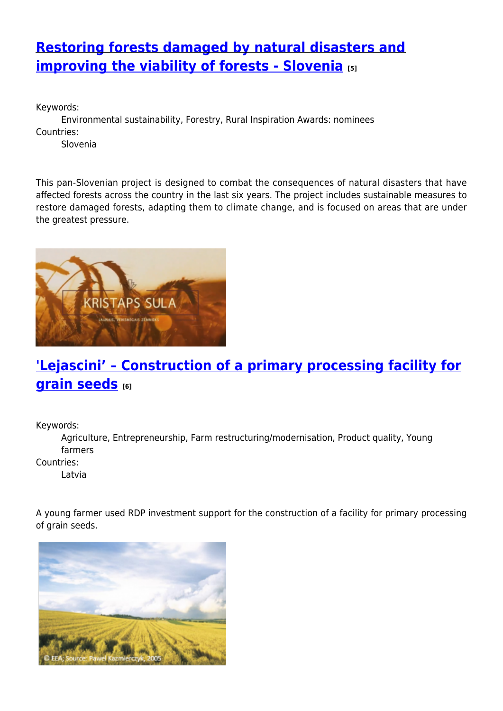## **[Restoring forests damaged by natural disasters and](https://enrd.ec.europa.eu/projects-practice/restoring-forests-damaged-natural-disasters-and-improving-viability-forests_en) [improving the viability of forests - Slovenia](https://enrd.ec.europa.eu/projects-practice/restoring-forests-damaged-natural-disasters-and-improving-viability-forests_en) [5]**

Keywords: Environmental sustainability, Forestry, Rural Inspiration Awards: nominees Countries: Slovenia

This pan-Slovenian project is designed to combat the consequences of natural disasters that have affected forests across the country in the last six years. The project includes sustainable measures to restore damaged forests, adapting them to climate change, and is focused on areas that are under the greatest pressure.



# **['Lejascini' – Construction of a primary processing facility for](https://enrd.ec.europa.eu/projects-practice/lejascini-construction-primary-processing-facility-grain-seeds_en) [grain seeds](https://enrd.ec.europa.eu/projects-practice/lejascini-construction-primary-processing-facility-grain-seeds_en)** [6]

Keywords:

Agriculture, Entrepreneurship, Farm restructuring/modernisation, Product quality, Young farmers

Countries:

Latvia

A young farmer used RDP investment support for the construction of a facility for primary processing of grain seeds.

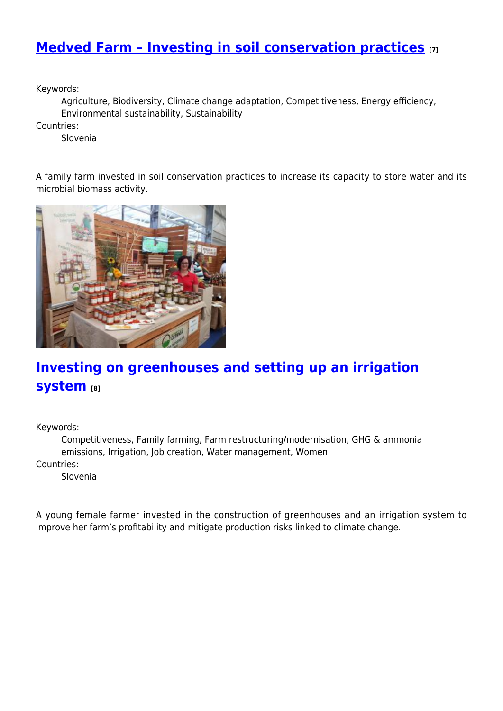### **[Medved Farm – Investing in soil conservation practices](https://enrd.ec.europa.eu/projects-practice/medved-farm-investing-soil-conservation-practices_en) [7]**

Keywords:

Agriculture, Biodiversity, Climate change adaptation, Competitiveness, Energy efficiency, Environmental sustainability, Sustainability

Countries:

Slovenia

A family farm invested in soil conservation practices to increase its capacity to store water and its microbial biomass activity.



## **[Investing on greenhouses and setting up an irrigation](https://enrd.ec.europa.eu/projects-practice/investing-greenhouses-and-setting-irrigation-system_en) [system](https://enrd.ec.europa.eu/projects-practice/investing-greenhouses-and-setting-irrigation-system_en) [8]**

Keywords:

Competitiveness, Family farming, Farm restructuring/modernisation, GHG & ammonia emissions, Irrigation, Job creation, Water management, Women Countries:

Slovenia

A young female farmer invested in the construction of greenhouses and an irrigation system to improve her farm's profitability and mitigate production risks linked to climate change.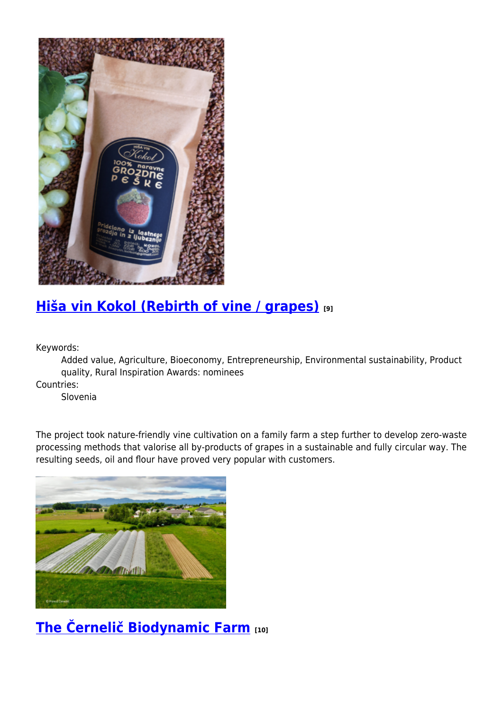

# **[Hiša vin Kokol \(Rebirth of vine / grapes\)](https://enrd.ec.europa.eu/projects-practice/hisa-vin-kokol-rebirth-vine-grapes_en) [9]**

Keywords:

Added value, Agriculture, Bioeconomy, Entrepreneurship, Environmental sustainability, Product quality, Rural Inspiration Awards: nominees

Countries:

Slovenia

The project took nature-friendly vine cultivation on a family farm a step further to develop zero-waste processing methods that valorise all by-products of grapes in a sustainable and fully circular way. The resulting seeds, oil and flour have proved very popular with customers.



### **[The Černelič Biodynamic Farm](https://enrd.ec.europa.eu/projects-practice/cernelic-biodynamic-farm-0_en) [10]**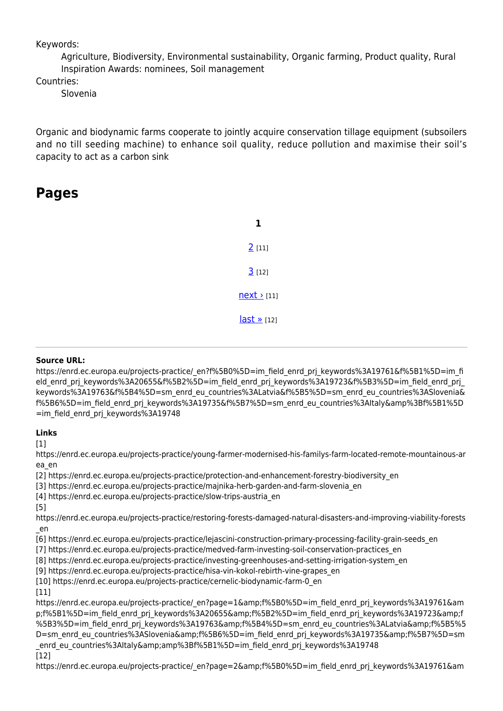Keywords:

Agriculture, Biodiversity, Environmental sustainability, Organic farming, Product quality, Rural Inspiration Awards: nominees, Soil management

Countries:

Slovenia

Organic and biodynamic farms cooperate to jointly acquire conservation tillage equipment (subsoilers and no till seeding machine) to enhance soil quality, reduce pollution and maximise their soil's capacity to act as a carbon sink

#### **Pages**

| 2(11)              |
|--------------------|
| 3[12]              |
| $next$ [11]        |
| $last \times [12]$ |

#### **Source URL:**

https://enrd.ec.europa.eu/projects-practice/\_en?f%5B0%5D=im\_field\_enrd\_prj\_keywords%3A19761&f%5B1%5D=im\_fi eld enrd prj keywords%3A20655&f%5B2%5D=im\_field\_enrd\_prj\_keywords%3A19723&f%5B3%5D=im\_field\_enrd\_prj keywords%3A19763&f%5B4%5D=sm\_enrd\_eu\_countries%3ALatvia&f%5B5%5D=sm\_enrd\_eu\_countries%3ASlovenia& f%5B6%5D=im\_field\_enrd\_prj\_keywords%3A19735&f%5B7%5D=sm\_enrd\_eu\_countries%3AItaly&amp%3Bf%5B1%5D =im\_field\_enrd\_prj\_keywords%3A19748

#### **Links**

 $[1]$ 

https://enrd.ec.europa.eu/projects-practice/young-farmer-modernised-his-familys-farm-located-remote-mountainous-ar ea\_en

[2] https://enrd.ec.europa.eu/projects-practice/protection-and-enhancement-forestry-biodiversity\_en

[3] https://enrd.ec.europa.eu/projects-practice/majnika-herb-garden-and-farm-slovenia\_en

[4] https://enrd.ec.europa.eu/projects-practice/slow-trips-austria\_en

[5]

https://enrd.ec.europa.eu/projects-practice/restoring-forests-damaged-natural-disasters-and-improving-viability-forests \_en

[6] https://enrd.ec.europa.eu/projects-practice/lejascini-construction-primary-processing-facility-grain-seeds\_en

[7] https://enrd.ec.europa.eu/projects-practice/medved-farm-investing-soil-conservation-practices\_en

[8] https://enrd.ec.europa.eu/projects-practice/investing-greenhouses-and-setting-irrigation-system\_en

[9] https://enrd.ec.europa.eu/projects-practice/hisa-vin-kokol-rebirth-vine-grapes\_en

[10] https://enrd.ec.europa.eu/projects-practice/cernelic-biodynamic-farm-0\_en

[11]

https://enrd.ec.europa.eu/projects-practice/\_en?page=1&f%5B0%5D=im\_field\_enrd\_prj\_keywords%3A19761&am p;f%5B1%5D=im\_field\_enrd\_prj\_keywords%3A20655&f%5B2%5D=im\_field\_enrd\_prj\_keywords%3A19723&f %5B3%5D=im\_field\_enrd\_prj\_keywords%3A19763&f%5B4%5D=sm\_enrd\_eu\_countries%3ALatvia&f%5B5%5 D=sm\_enrd\_eu\_countries%3ASlovenia&f%5B6%5D=im\_field\_enrd\_prj\_keywords%3A19735&f%5B7%5D=sm enrd\_eu\_countries%3AItaly&amp%3Bf%5B1%5D=im\_field\_enrd\_prj\_keywords%3A19748 [12]

https://enrd.ec.europa.eu/projects-practice/\_en?page=2&f%5B0%5D=im\_field\_enrd\_prj\_keywords%3A19761&am